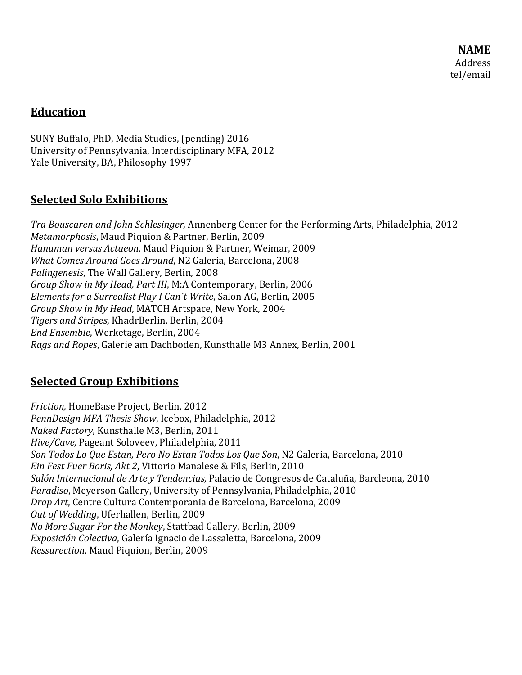**NAME** Address tel/email 

## **Education**

SUNY Buffalo, PhD, Media Studies, (pending) 2016 University of Pennsylvania, Interdisciplinary MFA, 2012 Yale University, BA, Philosophy 1997

#### **Selected Solo Exhibitions**

*Tra Bouscaren and John Schlesinger,* Annenberg Center for the Performing Arts, Philadelphia, 2012 *Metamorphosis*, Maud Piquion & Partner, Berlin, 2009 *Hanuman versus Actaeon*, Maud Piquion & Partner, Weimar, 2009 *What Comes Around Goes Around*, N2 Galeria, Barcelona, 2008 *Palingenesis*, The Wall Gallery, Berlin, 2008 *Group Show in My Head, Part III*, M:A Contemporary, Berlin, 2006 *Elements for a Surrealist Play I Can´t Write*, Salon AG, Berlin, 2005 *Group Show in My Head*, MATCH Artspace, New York, 2004 *Tigers and Stripes*, KhadrBerlin, Berlin, 2004 *End Ensemble*, Werketage, Berlin, 2004 *Rags and Ropes*, Galerie am Dachboden, Kunsthalle M3 Annex, Berlin, 2001 

# **Selected Group Exhibitions**

*Friction, HomeBase Project, Berlin, 2012 PennDesign MFA Thesis Show, Icebox, Philadelphia, 2012 Naked Factory*, Kunsthalle M3, Berlin, 2011 *Hive/Cave*, Pageant Soloveev, Philadelphia, 2011 *Son Todos Lo Que Estan, Pero No Estan Todos Los Que Son*, N2 Galeria, Barcelona, 2010 *Ein Fest Fuer Boris, Akt 2*, Vittorio Manalese & Fils, Berlin, 2010 *Salón Internacional de Arte y Tendencias*, Palacio de Congresos de Cataluña, Barcleona, 2010 *Paradiso*, Meyerson Gallery, University of Pennsylvania, Philadelphia, 2010 *Drap Art*, Centre Cultura Contemporania de Barcelona, Barcelona, 2009 *Out of Wedding*, Uferhallen, Berlin, 2009 *No More Sugar For the Monkey*, Stattbad Gallery, Berlin, 2009 *Exposición Colectiva*, Galería Ignacio de Lassaletta, Barcelona, 2009 *Ressurection*, Maud Piquion, Berlin, 2009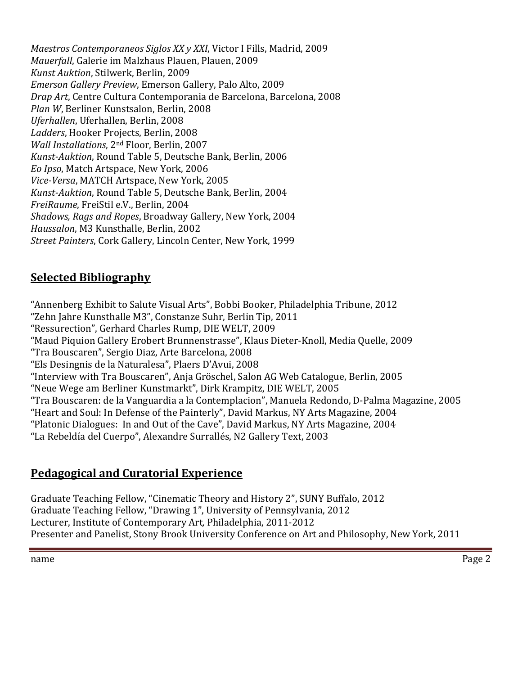*Maestros Contemporaneos Siglos XX y XXI*, Victor I Fills, Madrid, 2009 *Mauerfall*, Galerie im Malzhaus Plauen, Plauen, 2009 *Kunst Auktion*, Stilwerk, Berlin, 2009 *Emerson Gallery Preview*, Emerson Gallery, Palo Alto, 2009 *Drap Art*, Centre Cultura Contemporania de Barcelona, Barcelona, 2008 *Plan W*, Berliner Kunstsalon, Berlin, 2008 *Uferhallen*, Uferhallen, Berlin, 2008 Ladders, Hooker Projects, Berlin, 2008 *Wall Installations*, 2<sup>nd</sup> Floor, Berlin, 2007 *Kunst‐Auktion*, Round Table 5, Deutsche Bank, Berlin, 2006 *Eo Ipso*, Match Artspace, New York, 2006 *Vice‐Versa*, MATCH Artspace, New York, 2005 *Kunst‐Auktion*, Round Table 5, Deutsche Bank, Berlin, 2004 *FreiRaume*, FreiStil e.V., Berlin, 2004 *Shadows, Rags and Ropes*, Broadway Gallery, New York, 2004 *Haussalon*, M3 Kunsthalle, Berlin, 2002 *Street Painters, Cork Gallery, Lincoln Center, New York, 1999* 

## **Selected Bibliography**

"Annenberg Exhibit to Salute Visual Arts", Bobbi Booker, Philadelphia Tribune, 2012 "Zehn Jahre Kunsthalle M3", Constanze Suhr, Berlin Tip, 2011 "Ressurection", Gerhard Charles Rump, DIE WELT, 2009 "Maud Piquion Gallery Erobert Brunnenstrasse", Klaus Dieter-Knoll, Media Quelle, 2009 "Tra Bouscaren", Sergio Diaz, Arte Barcelona, 2008 "Els Desingnis de la Naturalesa", Plaers D'Avui, 2008 "Interview with Tra Bouscaren", Anja Gröschel, Salon AG Web Catalogue, Berlin, 2005 "Neue Wege am Berliner Kunstmarkt", Dirk Krampitz, DIE WELT, 2005 "Tra Bouscaren: de la Vanguardia a la Contemplacion", Manuela Redondo, D-Palma Magazine, 2005 "Heart and Soul: In Defense of the Painterly", David Markus, NY Arts Magazine, 2004 "Platonic Dialogues: In and Out of the Cave", David Markus, NY Arts Magazine, 2004 "La Rebeldía del Cuerpo", Alexandre Surrallés, N2 Gallery Text, 2003

#### **Pedagogical and Curatorial Experience**

Graduate Teaching Fellow, "Cinematic Theory and History 2", SUNY Buffalo, 2012 Graduate Teaching Fellow, "Drawing 1", University of Pennsylvania, 2012 Lecturer, Institute of Contemporary Art, Philadelphia, 2011-2012 Presenter and Panelist, Stony Brook University Conference on Art and Philosophy, New York, 2011